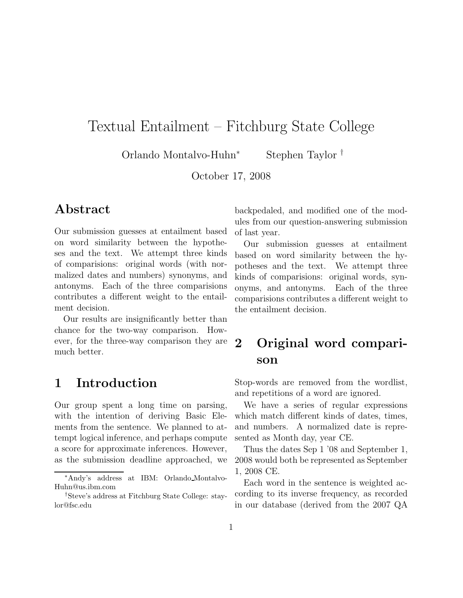# Textual Entailment – Fitchburg State College

Orlando Montalvo-Huhn<sup>∗</sup> Stephen Taylor †

October 17, 2008

### Abstract

Our submission guesses at entailment based on word similarity between the hypotheses and the text. We attempt three kinds of comparisions: original words (with normalized dates and numbers) synonyms, and antonyms. Each of the three comparisions contributes a different weight to the entailment decision.

Our results are insignificantly better than chance for the two-way comparison. However, for the three-way comparison they are much better.

## 1 Introduction

Our group spent a long time on parsing, with the intention of deriving Basic Elements from the sentence. We planned to attempt logical inference, and perhaps compute a score for approximate inferences. However, as the submission deadline approached, we backpedaled, and modified one of the modules from our question-answering submission of last year.

Our submission guesses at entailment based on word similarity between the hypotheses and the text. We attempt three kinds of comparisions: original words, synonyms, and antonyms. Each of the three comparisions contributes a different weight to the entailment decision.

## 2 Original word comparison

Stop-words are removed from the wordlist, and repetitions of a word are ignored.

We have a series of regular expressions which match different kinds of dates, times, and numbers. A normalized date is represented as Month day, year CE.

Thus the dates Sep 1 '08 and September 1, 2008 would both be represented as September 1, 2008 CE.

Each word in the sentence is weighted according to its inverse frequency, as recorded in our database (derived from the 2007 QA

<sup>∗</sup>Andy's address at IBM: Orlando Montalvo-Huhn@us.ibm.com

<sup>†</sup>Steve's address at Fitchburg State College: staylor@fsc.edu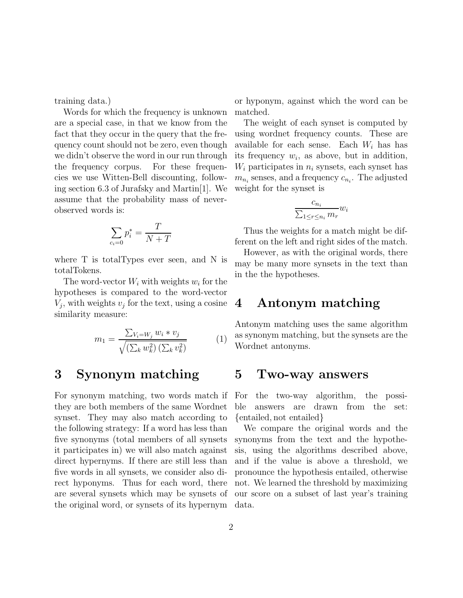training data.)

Words for which the frequency is unknown are a special case, in that we know from the fact that they occur in the query that the frequency count should not be zero, even though we didn't observe the word in our run through the frequency corpus. For these frequencies we use Witten-Bell discounting, following section 6.3 of Jurafsky and Martin[1]. We assume that the probability mass of neverobserved words is:

$$
\sum_{c_i=0} p_i^* = \frac{T}{N+T}
$$

where T is totalTypes ever seen, and N is totalTokens.

The word-vector  $W_i$  with weights  $w_i$  for the hypotheses is compared to the word-vector  $V_j$ , with weights  $v_j$  for the text, using a cosine similarity measure:

$$
m_1 = \frac{\sum_{V_i = W_j} w_i * v_j}{\sqrt{(\sum_k w_k^2)(\sum_k v_k^2)}}
$$
(1)

### 3 Synonym matching

For synonym matching, two words match if they are both members of the same Wordnet synset. They may also match according to the following strategy: If a word has less than five synonyms (total members of all synsets it participates in) we will also match against direct hypernyms. If there are still less than five words in all synsets, we consider also direct hyponyms. Thus for each word, there are several synsets which may be synsets of the original word, or synsets of its hypernym or hyponym, against which the word can be matched.

The weight of each synset is computed by using wordnet frequency counts. These are available for each sense. Each  $W_i$  has has its frequency  $w_i$ , as above, but in addition,  $W_i$  participates in  $n_i$  synsets, each synset has  $m_{n_i}$  senses, and a frequency  $c_{n_i}$ . The adjusted weight for the synset is

$$
\frac{c_{n_i}}{\sum_{1 \le r \le n_i} m_r} w_i
$$

Thus the weights for a match might be different on the left and right sides of the match.

However, as with the original words, there may be many more synsets in the text than in the the hypotheses.

#### 4 Antonym matching

Antonym matching uses the same algorithm as synonym matching, but the synsets are the Wordnet antonyms.

#### 5 Two-way answers

For the two-way algorithm, the possible answers are drawn from the set: {entailed, not entailed}

We compare the original words and the synonyms from the text and the hypothesis, using the algorithms described above, and if the value is above a threshold, we pronounce the hypothesis entailed, otherwise not. We learned the threshold by maximizing our score on a subset of last year's training data.